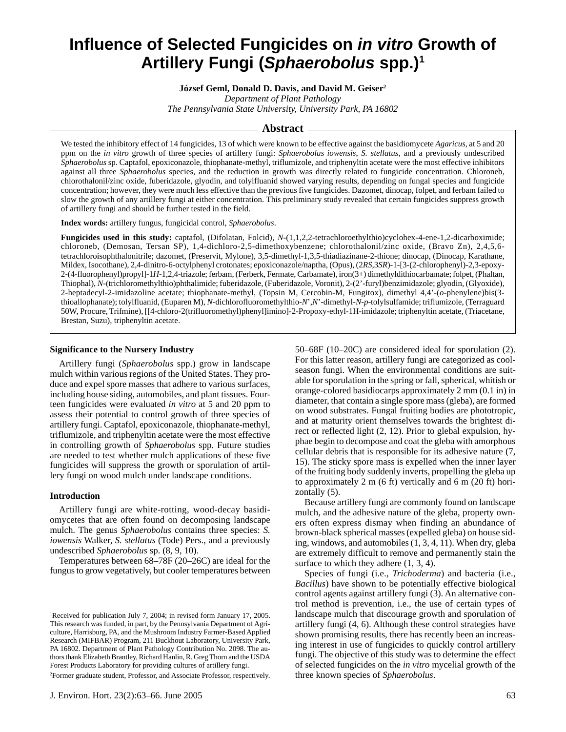# **Influence of Selected Fungicides on in vitro Growth of Artillery Fungi (Sphaerobolus spp.)<sup>1</sup>**

**József Geml, Donald D. Davis, and David M. Geiser<sup>2</sup>**

*Department of Plant Pathology The Pennsylvania State University, University Park, PA 16802*

# **Abstract**

We tested the inhibitory effect of 14 fungicides, 13 of which were known to be effective against the basidiomycete *Agaricus*, at 5 and 20 ppm on the *in vitro* growth of three species of artillery fungi: *Sphaerobolus iowensis*, *S. stellatus*, and a previously undescribed *Sphaerobolus* sp. Captafol, epoxiconazole, thiophanate-methyl, triflumizole, and triphenyltin acetate were the most effective inhibitors against all three *Sphaerobolus* species, and the reduction in growth was directly related to fungicide concentration. Chloroneb, chlorothalonil/zinc oxide, fuberidazole, glyodin, and tolylfluanid showed varying results, depending on fungal species and fungicide concentration; however, they were much less effective than the previous five fungicides. Dazomet, dinocap, folpet, and ferbam failed to slow the growth of any artillery fungi at either concentration. This preliminary study revealed that certain fungicides suppress growth of artillery fungi and should be further tested in the field.

**Index words:** artillery fungus, fungicidal control, *Sphaerobolus*.

**Fungicides used in this study:** captafol, (Difolatan, Folcid), *N*-(1,1,2,2-tetrachloroethylthio)cyclohex-4-ene-1,2-dicarboximide; chloroneb, (Demosan, Tersan SP), 1,4-dichloro-2,5-dimethoxybenzene; chlorothalonil/zinc oxide, (Bravo Zn), 2,4,5,6 tetrachloroisophthalonitrile; dazomet, (Preservit, Mylone), 3,5-dimethyl-1,3,5-thiadiazinane-2-thione; dinocap, (Dinocap, Karathane, Mildex, Isocothane), 2,4-dinitro-6-octylphenyl crotonates; epoxiconazole/naptha, (Opus), (2*RS*,3*SR*)-1-[3-(2-chlorophenyl)-2,3-epoxy-2-(4-fluorophenyl)propyl]-1*H*-1,2,4-triazole; ferbam, (Ferberk, Fermate, Carbamate), iron(3+) dimethyldithiocarbamate; folpet, (Phaltan, Thiophal), *N*-(trichloromethylthio)phthalimide; fuberidazole, (Fuberidazole, Voronit), 2-(2'-furyl)benzimidazole; glyodin, (Glyoxide), 2-heptadecyl-2-imidazoline acetate; thiophanate-methyl, (Topsin M, Cercobin-M, Fungitox), dimethyl 4,4'-(*o*-phenylene)bis(3 thioallophanate); tolylfluanid, (Euparen M), *N*-dichlorofluoromethylthio-*N*',*N*'-dimethyl-*N*-*p*-tolylsulfamide; triflumizole, (Terraguard 50W, Procure, Trifmine), [[4-chloro-2(trifluoromethyl)phenyl]imino]-2-Propoxy-ethyl-1H-imidazole; triphenyltin acetate, (Triacetane, Brestan, Suzu), triphenyltin acetate.

### **Significance to the Nursery Industry**

Artillery fungi (*Sphaerobolus* spp.) grow in landscape mulch within various regions of the United States. They produce and expel spore masses that adhere to various surfaces, including house siding, automobiles, and plant tissues. Fourteen fungicides were evaluated *in vitro* at 5 and 20 ppm to assess their potential to control growth of three species of artillery fungi. Captafol, epoxiconazole, thiophanate-methyl, triflumizole, and triphenyltin acetate were the most effective in controlling growth of *Sphaerobolus* spp. Future studies are needed to test whether mulch applications of these five fungicides will suppress the growth or sporulation of artillery fungi on wood mulch under landscape conditions.

#### **Introduction**

Artillery fungi are white-rotting, wood-decay basidiomycetes that are often found on decomposing landscape mulch. The genus *Sphaerobolus* contains three species: *S. iowensis* Walker, *S. stellatus* (Tode) Pers., and a previously undescribed *Sphaerobolus* sp. (8, 9, 10).

Temperatures between 68–78F (20–26C) are ideal for the fungus to grow vegetatively, but cooler temperatures between

<sup>2</sup>Former graduate student, Professor, and Associate Professor, respectively.

50–68F (10–20C) are considered ideal for sporulation (2). For this latter reason, artillery fungi are categorized as coolseason fungi. When the environmental conditions are suitable for sporulation in the spring or fall, spherical, whitish or orange-colored basidiocarps approximately 2 mm (0.1 in) in diameter, that contain a single spore mass (gleba), are formed on wood substrates. Fungal fruiting bodies are phototropic, and at maturity orient themselves towards the brightest direct or reflected light (2, 12). Prior to glebal expulsion, hyphae begin to decompose and coat the gleba with amorphous cellular debris that is responsible for its adhesive nature (7, 15). The sticky spore mass is expelled when the inner layer of the fruiting body suddenly inverts, propelling the gleba up to approximately 2 m (6 ft) vertically and 6 m (20 ft) horizontally (5).

Because artillery fungi are commonly found on landscape mulch, and the adhesive nature of the gleba, property owners often express dismay when finding an abundance of brown-black spherical masses (expelled gleba) on house siding, windows, and automobiles (1, 3, 4, 11). When dry, gleba are extremely difficult to remove and permanently stain the surface to which they adhere  $(1, 3, 4)$ .

Species of fungi (i.e., *Trichoderma*) and bacteria (i.e., *Bacillus*) have shown to be potentially effective biological control agents against artillery fungi (3). An alternative control method is prevention, i.e., the use of certain types of landscape mulch that discourage growth and sporulation of artillery fungi (4, 6). Although these control strategies have shown promising results, there has recently been an increasing interest in use of fungicides to quickly control artillery fungi. The objective of this study was to determine the effect of selected fungicides on the *in vitro* mycelial growth of the three known species of *Sphaerobolus*.

<sup>&</sup>lt;sup>1</sup>Received for publication July 7, 2004; in revised form January 17, 2005. This research was funded, in part, by the Pennsylvania Department of Agriculture, Harrisburg, PA, and the Mushroom Industry Farmer-Based Applied Research (MIFBAR) Program, 211 Buckhout Laboratory, University Park, PA 16802. Department of Plant Pathology Contribution No. 2098. The authors thank Elizabeth Brantley, Richard Hanlin, R. Greg Thorn and the USDA Forest Products Laboratory for providing cultures of artillery fungi.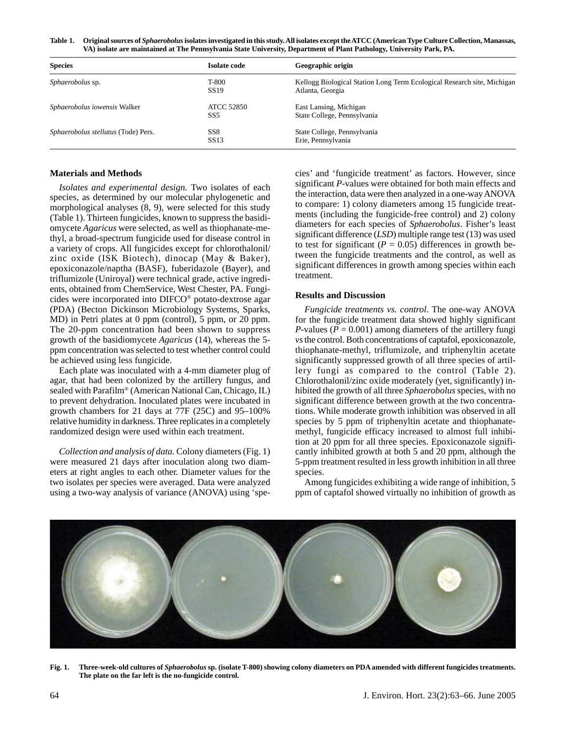**Table 1. Original sources of** *Sphaerobolus* **isolates investigated in this study. All isolates except the ATCC (American Type Culture Collection, Manassas, VA) isolate are maintained at The Pennsylvania State University, Department of Plant Pathology, University Park, PA.**

| <b>Species</b>                      | <b>Isolate code</b>                  | Geographic origin                                                                           |
|-------------------------------------|--------------------------------------|---------------------------------------------------------------------------------------------|
| <i>Sphaerobolus</i> sp.             | T-800<br>SS <sub>19</sub>            | Kellogg Biological Station Long Term Ecological Research site, Michigan<br>Atlanta, Georgia |
| Sphaerobolus iowensis Walker        | <b>ATCC 52850</b><br>SS <sub>5</sub> | East Lansing, Michigan<br>State College, Pennsylvania                                       |
| Sphaerobolus stellatus (Tode) Pers. | SS <sub>8</sub><br>SS <sub>13</sub>  | State College, Pennsylvania<br>Erie, Pennsylvania                                           |

## **Materials and Methods**

*Isolates and experimental design.* Two isolates of each species, as determined by our molecular phylogenetic and morphological analyses (8, 9), were selected for this study (Table 1). Thirteen fungicides, known to suppress the basidiomycete *Agaricus* were selected, as well as thiophanate-methyl, a broad-spectrum fungicide used for disease control in a variety of crops. All fungicides except for chlorothalonil/ zinc oxide (ISK Biotech), dinocap (May & Baker), epoxiconazole/naptha (BASF), fuberidazole (Bayer), and triflumizole (Uniroyal) were technical grade, active ingredients, obtained from ChemService, West Chester, PA. Fungicides were incorporated into DIFCO® potato-dextrose agar (PDA) (Becton Dickinson Microbiology Systems, Sparks, MD) in Petri plates at 0 ppm (control), 5 ppm, or 20 ppm. The 20-ppm concentration had been shown to suppress growth of the basidiomycete *Agaricus* (14), whereas the 5 ppm concentration was selected to test whether control could be achieved using less fungicide.

Each plate was inoculated with a 4-mm diameter plug of agar, that had been colonized by the artillery fungus, and sealed with Parafilm® (American National Can, Chicago, IL) to prevent dehydration. Inoculated plates were incubated in growth chambers for 21 days at 77F (25C) and 95–100% relative humidity in darkness. Three replicates in a completely randomized design were used within each treatment.

*Collection and analysis of data.* Colony diameters (Fig. 1) were measured 21 days after inoculation along two diameters at right angles to each other. Diameter values for the two isolates per species were averaged. Data were analyzed using a two-way analysis of variance (ANOVA) using 'species' and 'fungicide treatment' as factors. However, since significant *P*-values were obtained for both main effects and the interaction, data were then analyzed in a one-way ANOVA to compare: 1) colony diameters among 15 fungicide treatments (including the fungicide-free control) and 2) colony diameters for each species of *Sphaerobolus*. Fisher's least significant difference (*LSD*) multiple range test (13) was used to test for significant ( $P = 0.05$ ) differences in growth between the fungicide treatments and the control, as well as significant differences in growth among species within each treatment.

### **Results and Discussion**

*Fungicide treatments vs. control*. The one-way ANOVA for the fungicide treatment data showed highly significant *P*-values ( $P = 0.001$ ) among diameters of the artillery fungi *vs* the control. Both concentrations of captafol, epoxiconazole, thiophanate-methyl, triflumizole, and triphenyltin acetate significantly suppressed growth of all three species of artillery fungi as compared to the control (Table 2). Chlorothalonil/zinc oxide moderately (yet, significantly) inhibited the growth of all three *Sphaerobolus* species, with no significant difference between growth at the two concentrations. While moderate growth inhibition was observed in all species by 5 ppm of triphenyltin acetate and thiophanatemethyl, fungicide efficacy increased to almost full inhibition at 20 ppm for all three species. Epoxiconazole significantly inhibited growth at both 5 and 20 ppm, although the 5-ppm treatment resulted in less growth inhibition in all three species.

Among fungicides exhibiting a wide range of inhibition, 5 ppm of captafol showed virtually no inhibition of growth as



**Fig. 1. Three-week-old cultures of** *Sphaerobolus* **sp. (isolate T-800) showing colony diameters on PDA amended with different fungicides treatments. The plate on the far left is the no-fungicide control.**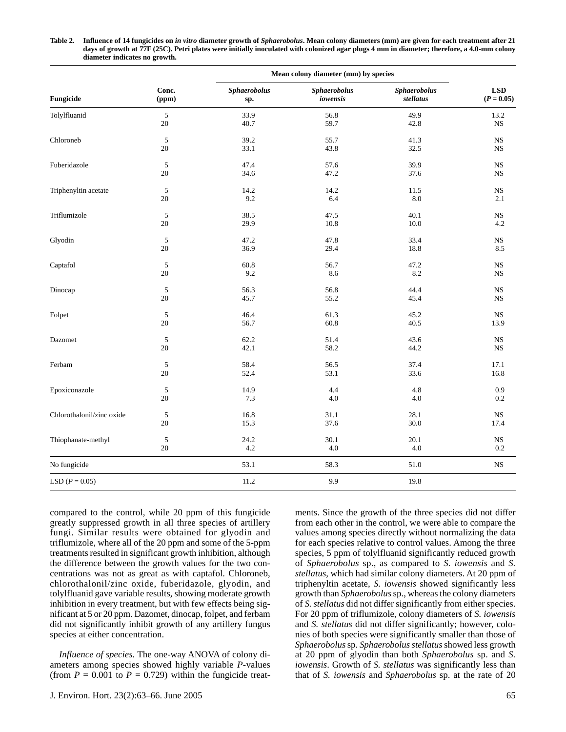| Fungicide                 | Conc.<br>(ppm) | Mean colony diameter (mm) by species |                                 |                                  |                            |
|---------------------------|----------------|--------------------------------------|---------------------------------|----------------------------------|----------------------------|
|                           |                | <b>Sphaerobolus</b><br>sp.           | <b>Sphaerobolus</b><br>iowensis | <b>Sphaerobolus</b><br>stellatus | <b>LSD</b><br>$(P = 0.05)$ |
| Tolylfluanid              | 5              | 33.9                                 | 56.8                            | 49.9                             | 13.2                       |
|                           | 20             | 40.7                                 | 59.7                            | 42.8                             | <b>NS</b>                  |
| Chloroneb                 | $\mathfrak{s}$ | 39.2                                 | 55.7                            | 41.3                             | $_{\rm NS}$                |
|                           | 20             | 33.1                                 | 43.8                            | 32.5                             | <b>NS</b>                  |
| Fuberidazole              | 5              | 47.4                                 | 57.6                            | 39.9                             | $_{\rm NS}$                |
|                           | 20             | 34.6                                 | 47.2                            | 37.6                             | $_{\rm NS}$                |
| Triphenyltin acetate      | 5              | 14.2                                 | 14.2                            | 11.5                             | $_{\rm NS}$                |
|                           | 20             | 9.2                                  | 6.4                             | 8.0                              | 2.1                        |
| Triflumizole              | 5              | 38.5                                 | 47.5                            | 40.1                             | $_{\rm NS}$                |
|                           | 20             | 29.9                                 | 10.8                            | 10.0                             | 4.2                        |
| Glyodin                   | 5              | 47.2                                 | 47.8                            | 33.4                             | $_{\rm NS}$                |
|                           | 20             | 36.9                                 | 29.4                            | 18.8                             | 8.5                        |
| Captafol                  | 5              | 60.8                                 | 56.7                            | 47.2                             | $_{\rm NS}$                |
|                           | 20             | 9.2                                  | 8.6                             | 8.2                              | <b>NS</b>                  |
| Dinocap                   | 5              | 56.3                                 | 56.8                            | 44.4                             | $_{\rm NS}$                |
|                           | 20             | 45.7                                 | 55.2                            | 45.4                             | <b>NS</b>                  |
| Folpet                    | 5              | 46.4                                 | 61.3                            | 45.2                             | <b>NS</b>                  |
|                           | 20             | 56.7                                 | 60.8                            | 40.5                             | 13.9                       |
| Dazomet                   | 5              | 62.2                                 | 51.4                            | 43.6                             | <b>NS</b>                  |
|                           | 20             | 42.1                                 | 58.2                            | 44.2                             | NS                         |
| Ferbam                    | 5              | 58.4                                 | 56.5                            | 37.4                             | 17.1                       |
|                           | 20             | 52.4                                 | 53.1                            | 33.6                             | 16.8                       |
| Epoxiconazole             | 5              | 14.9                                 | 4.4                             | 4.8                              | 0.9                        |
|                           | 20             | 7.3                                  | 4.0                             | 4.0                              | 0.2                        |
| Chlorothalonil/zinc oxide | $\mathfrak{s}$ | 16.8                                 | 31.1                            | 28.1                             | $_{\rm NS}$                |
|                           | 20             | 15.3                                 | 37.6                            | 30.0                             | 17.4                       |
| Thiophanate-methyl        | 5              | 24.2                                 | 30.1                            | 20.1                             | NS                         |
|                           | 20             | 4.2                                  | 4.0                             | 4.0                              | 0.2                        |
| No fungicide              |                | 53.1                                 | 58.3                            | 51.0                             | $_{\rm NS}$                |
| LSD $(P = 0.05)$          |                | 11.2                                 | 9.9                             | 19.8                             |                            |

#### **Table 2. Influence of 14 fungicides on** *in vitro* **diameter growth of** *Sphaerobolus***. Mean colony diameters (mm) are given for each treatment after 21 days of growth at 77F (25C). Petri plates were initially inoculated with colonized agar plugs 4 mm in diameter; therefore, a 4.0-mm colony diameter indicates no growth.**

compared to the control, while 20 ppm of this fungicide greatly suppressed growth in all three species of artillery fungi. Similar results were obtained for glyodin and triflumizole, where all of the 20 ppm and some of the 5-ppm treatments resulted in significant growth inhibition, although the difference between the growth values for the two concentrations was not as great as with captafol. Chloroneb, chlorothalonil/zinc oxide, fuberidazole, glyodin, and tolylfluanid gave variable results, showing moderate growth inhibition in every treatment, but with few effects being significant at 5 or 20 ppm. Dazomet, dinocap, folpet, and ferbam did not significantly inhibit growth of any artillery fungus species at either concentration.

*Influence of species.* The one-way ANOVA of colony diameters among species showed highly variable *P*-values (from  $P = 0.001$  to  $P = 0.729$ ) within the fungicide treatments. Since the growth of the three species did not differ from each other in the control, we were able to compare the values among species directly without normalizing the data for each species relative to control values. Among the three species, 5 ppm of tolylfluanid significantly reduced growth of *Sphaerobolus* sp., as compared to *S. iowensis* and *S. stellatus*, which had similar colony diameters. At 20 ppm of triphenyltin acetate, *S. iowensis* showed significantly less growth than *Sphaerobolus* sp., whereas the colony diameters of *S. stellatus* did not differ significantly from either species. For 20 ppm of triflumizole, colony diameters of *S. iowensis* and *S. stellatus* did not differ significantly; however, colonies of both species were significantly smaller than those of *Sphaerobolus* sp. *Sphaerobolus stellatus* showed less growth at 20 ppm of glyodin than both *Sphaerobolus* sp. and *S. iowensis*. Growth of *S. stellatus* was significantly less than that of *S. iowensis* and *Sphaerobolus* sp. at the rate of 20